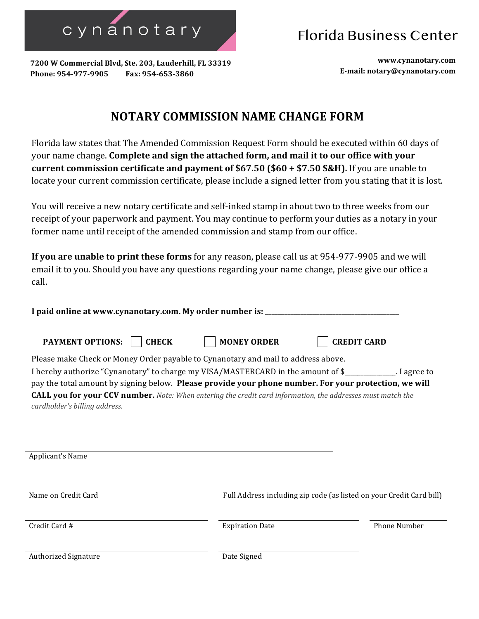cynanotary

Florida Business Center

**7200 W Commercial Blvd, Ste. 203, Lauderhill, FL 33319**  Phone: 954-977-9905 Fax: 954-653-3860

**www.cynanotary.com E-mail: notary@cynanotary.com**

## **NOTARY COMMISSION NAME CHANGE FORM**

Florida law states that The Amended Commission Request Form should be executed within 60 days of your name change. **Complete and sign the attached form, and mail it to our office with your current commission certificate and payment of \$67.50 (\$60 + \$7.50 <b>S&H**). If you are unable to locate your current commission certificate, please include a signed letter from you stating that it is lost.

You will receive a new notary certificate and self-inked stamp in about two to three weeks from our receipt of your paperwork and payment. You may continue to perform your duties as a notary in your former name until receipt of the amended commission and stamp from our office.

**If you are unable to print these forms** for any reason, please call us at 954-977-9905 and we will email it to you. Should you have any questions regarding your name change, please give our office a call.

I paid online at www.cynanotary.com. My order number is:

**PAYMENT OPTIONS: CHECK MONEY ORDER CREDIT CARD**

| Please make Check or Money Order payable to Cynanotary and mail to address above.                                  |
|--------------------------------------------------------------------------------------------------------------------|
| I hereby authorize "Cynanotary" to charge my VISA/MASTERCARD in the amount of \$<br>. I agree to                   |
| pay the total amount by signing below. Please provide your phone number. For your protection, we will              |
| <b>CALL you for your CCV number.</b> Note: When entering the credit card information, the addresses must match the |
| cardholder's billing address.                                                                                      |

| Applicant's Name            |                                                                      |                     |
|-----------------------------|----------------------------------------------------------------------|---------------------|
| Name on Credit Card         | Full Address including zip code (as listed on your Credit Card bill) |                     |
| Credit Card #               | <b>Expiration Date</b>                                               | <b>Phone Number</b> |
| <b>Authorized Signature</b> | Date Signed                                                          |                     |